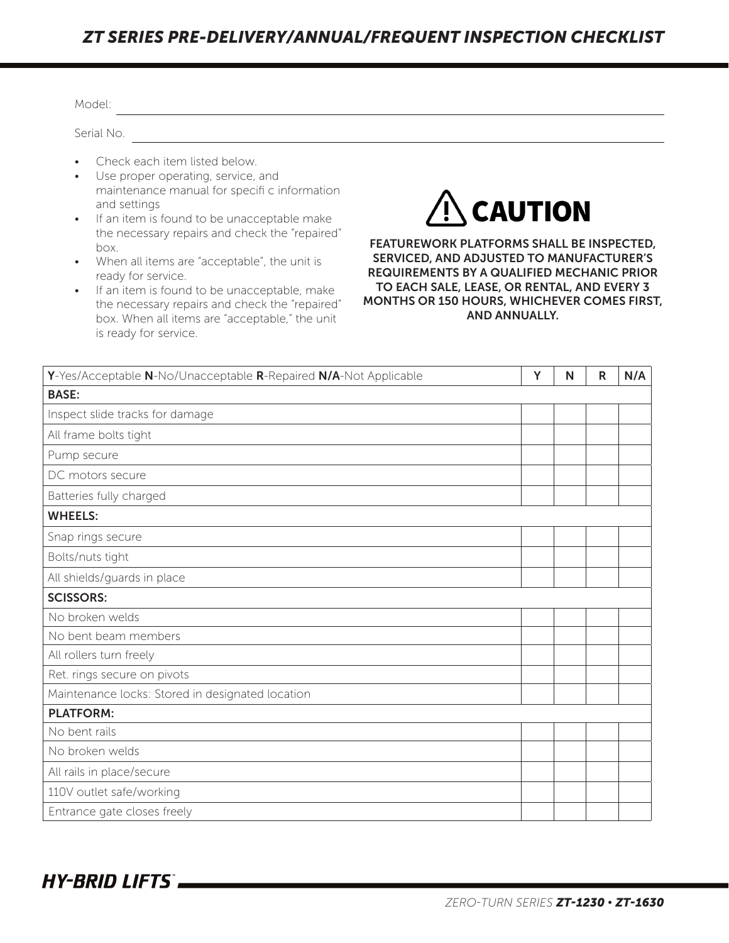## *ZT SERIES PRE-DELIVERY/ANNUAL/FREQUENT INSPECTION CHECKLIST*

| Serial No.                                                                                                                                                                                                                                                                                                                                                                                                                                                                                                                                                                                                                                                                                                                                                                                      |   |   |   |     |  |  |
|-------------------------------------------------------------------------------------------------------------------------------------------------------------------------------------------------------------------------------------------------------------------------------------------------------------------------------------------------------------------------------------------------------------------------------------------------------------------------------------------------------------------------------------------------------------------------------------------------------------------------------------------------------------------------------------------------------------------------------------------------------------------------------------------------|---|---|---|-----|--|--|
| Check each item listed below.<br>Use proper operating, service, and<br>maintenance manual for specifi c information<br>$\Lambda$ CAUTION<br>and settings<br>If an item is found to be unacceptable make<br>the necessary repairs and check the "repaired"<br><b>FEATUREWORK PLATFORMS SHALL BE INSPECTED,</b><br>box.<br>SERVICED, AND ADJUSTED TO MANUFACTURER'S<br>When all items are "acceptable", the unit is<br><b>REQUIREMENTS BY A QUALIFIED MECHANIC PRIOR</b><br>ready for service.<br>TO EACH SALE, LEASE, OR RENTAL, AND EVERY 3<br>If an item is found to be unacceptable, make<br>MONTHS OR 150 HOURS, WHICHEVER COMES FIRST,<br>the necessary repairs and check the "repaired"<br><b>AND ANNUALLY.</b><br>box. When all items are "acceptable," the unit<br>is ready for service. |   |   |   |     |  |  |
| Y-Yes/Acceptable N-No/Unacceptable R-Repaired N/A-Not Applicable                                                                                                                                                                                                                                                                                                                                                                                                                                                                                                                                                                                                                                                                                                                                | Y | N | R | N/A |  |  |
| <b>BASE:</b>                                                                                                                                                                                                                                                                                                                                                                                                                                                                                                                                                                                                                                                                                                                                                                                    |   |   |   |     |  |  |
| Inspect slide tracks for damage                                                                                                                                                                                                                                                                                                                                                                                                                                                                                                                                                                                                                                                                                                                                                                 |   |   |   |     |  |  |
| All frame bolts tight                                                                                                                                                                                                                                                                                                                                                                                                                                                                                                                                                                                                                                                                                                                                                                           |   |   |   |     |  |  |
| Pump secure                                                                                                                                                                                                                                                                                                                                                                                                                                                                                                                                                                                                                                                                                                                                                                                     |   |   |   |     |  |  |
| DC motors secure                                                                                                                                                                                                                                                                                                                                                                                                                                                                                                                                                                                                                                                                                                                                                                                |   |   |   |     |  |  |
| Batteries fully charged                                                                                                                                                                                                                                                                                                                                                                                                                                                                                                                                                                                                                                                                                                                                                                         |   |   |   |     |  |  |
| <b>WHEELS:</b>                                                                                                                                                                                                                                                                                                                                                                                                                                                                                                                                                                                                                                                                                                                                                                                  |   |   |   |     |  |  |
| Snap rings secure                                                                                                                                                                                                                                                                                                                                                                                                                                                                                                                                                                                                                                                                                                                                                                               |   |   |   |     |  |  |
| Bolts/nuts tight                                                                                                                                                                                                                                                                                                                                                                                                                                                                                                                                                                                                                                                                                                                                                                                |   |   |   |     |  |  |
| All shields/guards in place                                                                                                                                                                                                                                                                                                                                                                                                                                                                                                                                                                                                                                                                                                                                                                     |   |   |   |     |  |  |
| <b>SCISSORS:</b>                                                                                                                                                                                                                                                                                                                                                                                                                                                                                                                                                                                                                                                                                                                                                                                |   |   |   |     |  |  |
| No broken welds                                                                                                                                                                                                                                                                                                                                                                                                                                                                                                                                                                                                                                                                                                                                                                                 |   |   |   |     |  |  |
| No bent beam members                                                                                                                                                                                                                                                                                                                                                                                                                                                                                                                                                                                                                                                                                                                                                                            |   |   |   |     |  |  |
| All rollers turn freely                                                                                                                                                                                                                                                                                                                                                                                                                                                                                                                                                                                                                                                                                                                                                                         |   |   |   |     |  |  |
| Ret. rings secure on pivots                                                                                                                                                                                                                                                                                                                                                                                                                                                                                                                                                                                                                                                                                                                                                                     |   |   |   |     |  |  |
| Maintenance locks: Stored in designated location                                                                                                                                                                                                                                                                                                                                                                                                                                                                                                                                                                                                                                                                                                                                                |   |   |   |     |  |  |
| <b>PLATFORM:</b>                                                                                                                                                                                                                                                                                                                                                                                                                                                                                                                                                                                                                                                                                                                                                                                |   |   |   |     |  |  |
| No bent rails                                                                                                                                                                                                                                                                                                                                                                                                                                                                                                                                                                                                                                                                                                                                                                                   |   |   |   |     |  |  |
| No broken welds                                                                                                                                                                                                                                                                                                                                                                                                                                                                                                                                                                                                                                                                                                                                                                                 |   |   |   |     |  |  |
| All rails in place/secure                                                                                                                                                                                                                                                                                                                                                                                                                                                                                                                                                                                                                                                                                                                                                                       |   |   |   |     |  |  |